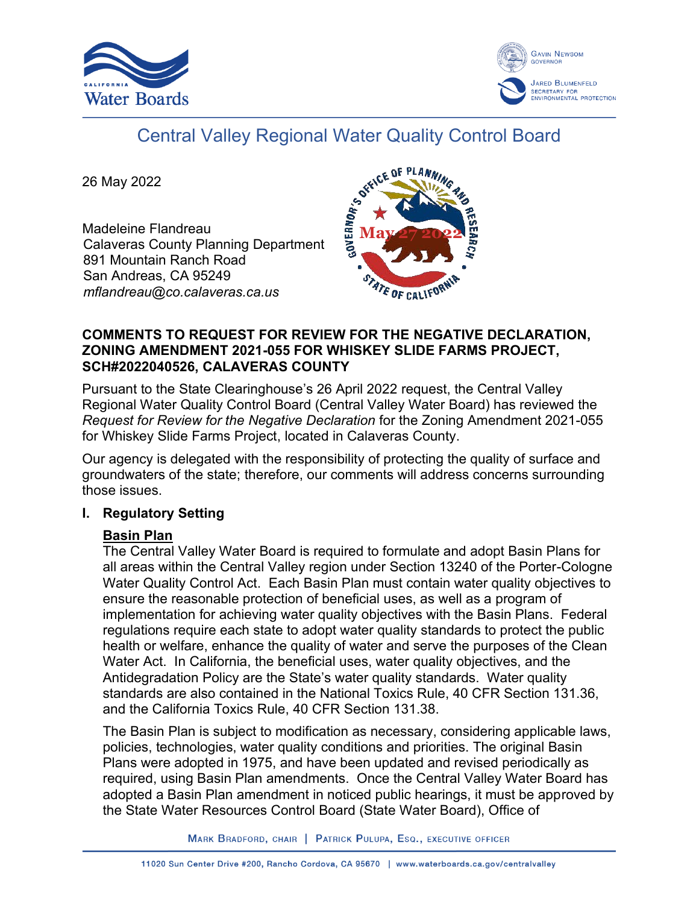



# Central Valley Regional Water Quality Control Board

26 May 2022

Madeleine Flandreau Calaveras County Planning Department 891 Mountain Ranch Road San Andreas, CA 95249 *mflandreau@co.calaveras.ca.us*



### **COMMENTS TO REQUEST FOR REVIEW FOR THE NEGATIVE DECLARATION, ZONING AMENDMENT 2021-055 FOR WHISKEY SLIDE FARMS PROJECT, SCH#2022040526, CALAVERAS COUNTY**

Pursuant to the State Clearinghouse's 26 April 2022 request, the Central Valley Regional Water Quality Control Board (Central Valley Water Board) has reviewed the *Request for Review for the Negative Declaration* for the Zoning Amendment 2021-055 for Whiskey Slide Farms Project, located in Calaveras County.

Our agency is delegated with the responsibility of protecting the quality of surface and groundwaters of the state; therefore, our comments will address concerns surrounding those issues.

## **I. Regulatory Setting**

# **Basin Plan**

The Central Valley Water Board is required to formulate and adopt Basin Plans for all areas within the Central Valley region under Section 13240 of the Porter-Cologne Water Quality Control Act. Each Basin Plan must contain water quality objectives to ensure the reasonable protection of beneficial uses, as well as a program of implementation for achieving water quality objectives with the Basin Plans. Federal regulations require each state to adopt water quality standards to protect the public health or welfare, enhance the quality of water and serve the purposes of the Clean Water Act. In California, the beneficial uses, water quality objectives, and the Antidegradation Policy are the State's water quality standards. Water quality standards are also contained in the National Toxics Rule, 40 CFR Section 131.36, and the California Toxics Rule, 40 CFR Section 131.38.

The Basin Plan is subject to modification as necessary, considering applicable laws, policies, technologies, water quality conditions and priorities. The original Basin Plans were adopted in 1975, and have been updated and revised periodically as required, using Basin Plan amendments. Once the Central Valley Water Board has adopted a Basin Plan amendment in noticed public hearings, it must be approved by the State Water Resources Control Board (State Water Board), Office of

MARK BRADFORD, CHAIR | PATRICK PULUPA, ESQ., EXECUTIVE OFFICER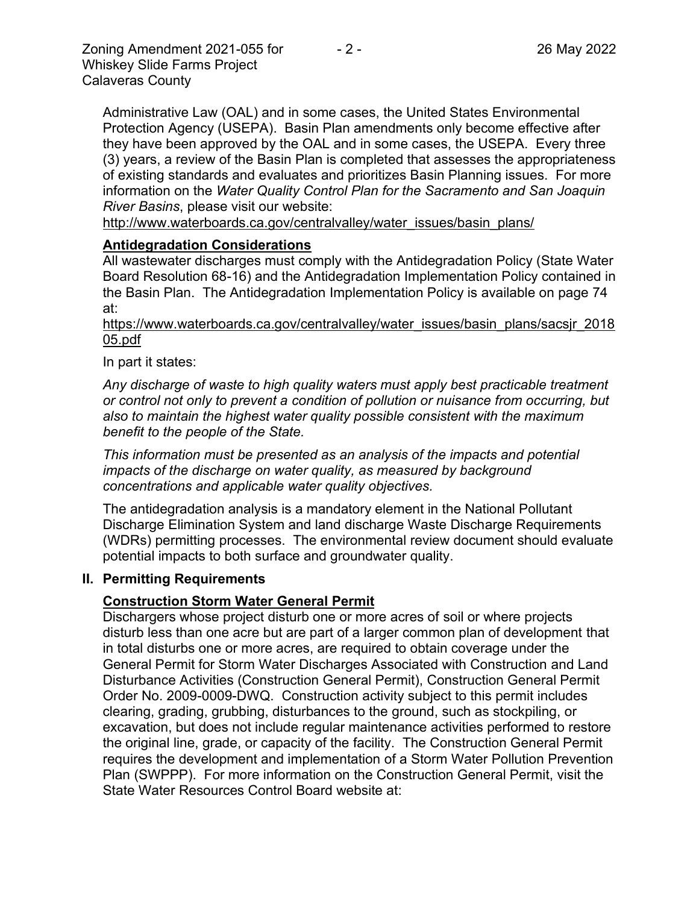Administrative Law (OAL) and in some cases, the United States Environmental Protection Agency (USEPA). Basin Plan amendments only become effective after they have been approved by the OAL and in some cases, the USEPA. Every three (3) years, a review of the Basin Plan is completed that assesses the appropriateness of existing standards and evaluates and prioritizes Basin Planning issues. For more information on the *Water Quality Control Plan for the Sacramento and San Joaquin River Basins*, please visit our website:

[http://www.waterboards.ca.gov/centralvalley/water\\_issues/basin\\_plans/](http://www.waterboards.ca.gov/centralvalley/water_issues/basin_plans/)

#### **Antidegradation Considerations**

All wastewater discharges must comply with the Antidegradation Policy (State Water Board Resolution 68-16) and the Antidegradation Implementation Policy contained in the Basin Plan. The Antidegradation Implementation Policy is available on page 74 at:

https://www.waterboards.ca.gov/centralvalley/water\_issues/basin\_plans/sacsjr\_2018 05.pdf

In part it states:

*Any discharge of waste to high quality waters must apply best practicable treatment or control not only to prevent a condition of pollution or nuisance from occurring, but also to maintain the highest water quality possible consistent with the maximum benefit to the people of the State.*

*This information must be presented as an analysis of the impacts and potential impacts of the discharge on water quality, as measured by background concentrations and applicable water quality objectives.*

The antidegradation analysis is a mandatory element in the National Pollutant Discharge Elimination System and land discharge Waste Discharge Requirements (WDRs) permitting processes. The environmental review document should evaluate potential impacts to both surface and groundwater quality.

#### **II. Permitting Requirements**

#### **Construction Storm Water General Permit**

Dischargers whose project disturb one or more acres of soil or where projects disturb less than one acre but are part of a larger common plan of development that in total disturbs one or more acres, are required to obtain coverage under the General Permit for Storm Water Discharges Associated with Construction and Land Disturbance Activities (Construction General Permit), Construction General Permit Order No. 2009-0009-DWQ. Construction activity subject to this permit includes clearing, grading, grubbing, disturbances to the ground, such as stockpiling, or excavation, but does not include regular maintenance activities performed to restore the original line, grade, or capacity of the facility. The Construction General Permit requires the development and implementation of a Storm Water Pollution Prevention Plan (SWPPP). For more information on the Construction General Permit, visit the State Water Resources Control Board website at: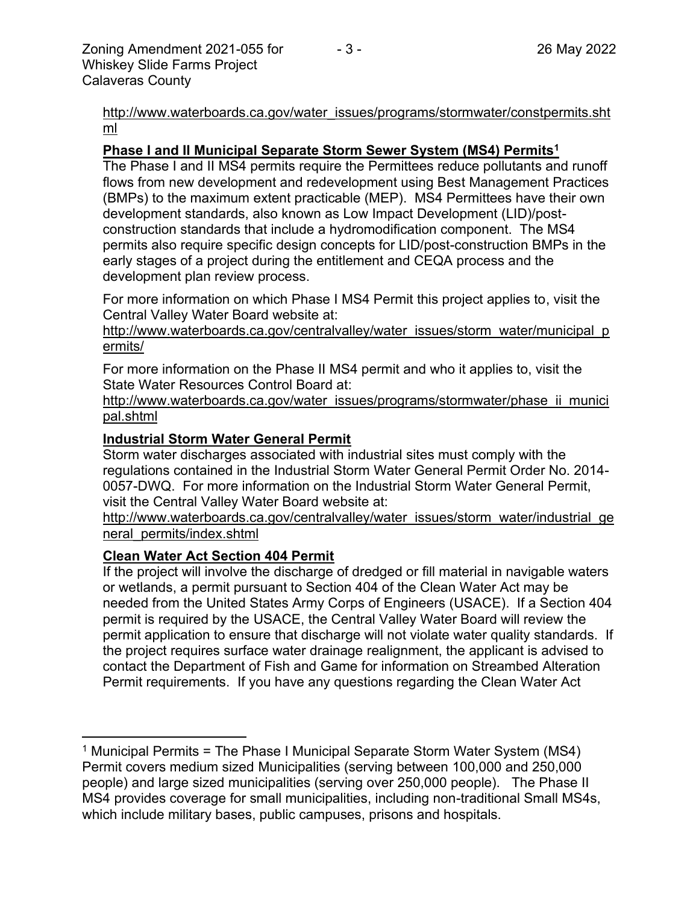[http://www.waterboards.ca.gov/water\\_issues/programs/stormwater/constpermits.sht](http://www.waterboards.ca.gov/water_issues/programs/stormwater/constpermits.shtml) [ml](http://www.waterboards.ca.gov/water_issues/programs/stormwater/constpermits.shtml)

#### **Phase I and II Municipal Separate Storm Sewer System (MS4) Permits<sup>1</sup>**

The Phase I and II MS4 permits require the Permittees reduce pollutants and runoff flows from new development and redevelopment using Best Management Practices (BMPs) to the maximum extent practicable (MEP). MS4 Permittees have their own development standards, also known as Low Impact Development (LID)/postconstruction standards that include a hydromodification component. The MS4 permits also require specific design concepts for LID/post-construction BMPs in the early stages of a project during the entitlement and CEQA process and the development plan review process.

For more information on which Phase I MS4 Permit this project applies to, visit the Central Valley Water Board website at:

http://www.waterboards.ca.gov/centralvalley/water\_issues/storm\_water/municipal\_p ermits/

For more information on the Phase II MS4 permit and who it applies to, visit the State Water Resources Control Board at:

http://www.waterboards.ca.gov/water\_issues/programs/stormwater/phase\_ii\_munici pal.shtml

#### **Industrial Storm Water General Permit**

Storm water discharges associated with industrial sites must comply with the regulations contained in the Industrial Storm Water General Permit Order No. 2014- 0057-DWQ. For more information on the Industrial Storm Water General Permit, visit the Central Valley Water Board website at:

http://www.waterboards.ca.gov/centralvalley/water\_issues/storm\_water/industrial\_ge neral\_permits/index.shtml

#### **Clean Water Act Section 404 Permit**

If the project will involve the discharge of dredged or fill material in navigable waters or wetlands, a permit pursuant to Section 404 of the Clean Water Act may be needed from the United States Army Corps of Engineers (USACE). If a Section 404 permit is required by the USACE, the Central Valley Water Board will review the permit application to ensure that discharge will not violate water quality standards. If the project requires surface water drainage realignment, the applicant is advised to contact the Department of Fish and Game for information on Streambed Alteration Permit requirements. If you have any questions regarding the Clean Water Act

<sup>&</sup>lt;sup>1</sup> Municipal Permits = The Phase I Municipal Separate Storm Water System (MS4) Permit covers medium sized Municipalities (serving between 100,000 and 250,000 people) and large sized municipalities (serving over 250,000 people). The Phase II MS4 provides coverage for small municipalities, including non-traditional Small MS4s, which include military bases, public campuses, prisons and hospitals.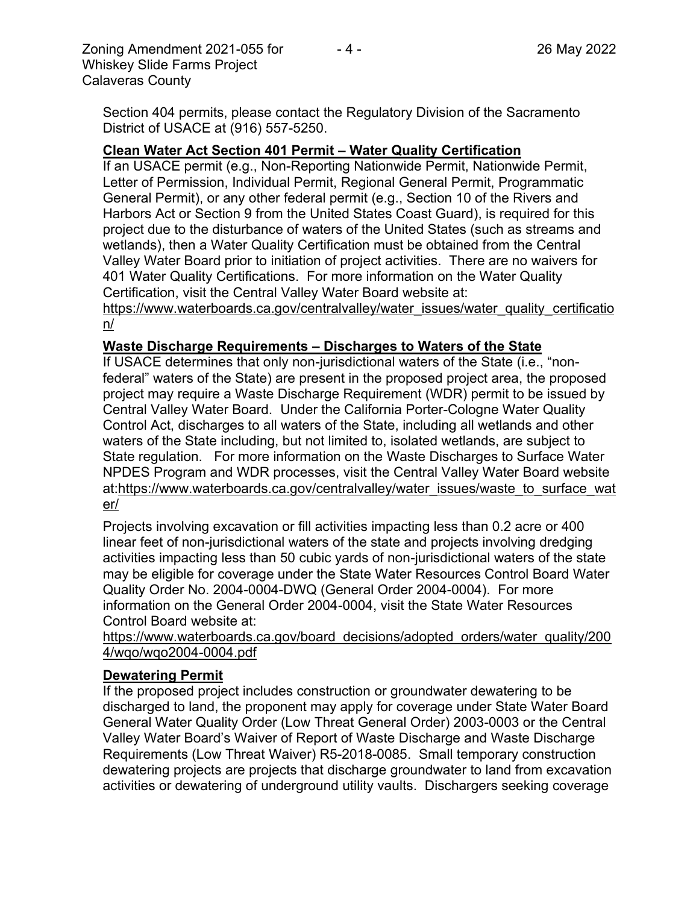Zoning Amendment 2021-055 for - 4 - 26 May 2022 Whiskey Slide Farms Project Calaveras County

Section 404 permits, please contact the Regulatory Division of the Sacramento District of USACE at (916) 557-5250.

## **Clean Water Act Section 401 Permit – Water Quality Certification**

If an USACE permit (e.g., Non-Reporting Nationwide Permit, Nationwide Permit, Letter of Permission, Individual Permit, Regional General Permit, Programmatic General Permit), or any other federal permit (e.g., Section 10 of the Rivers and Harbors Act or Section 9 from the United States Coast Guard), is required for this project due to the disturbance of waters of the United States (such as streams and wetlands), then a Water Quality Certification must be obtained from the Central Valley Water Board prior to initiation of project activities. There are no waivers for 401 Water Quality Certifications. For more information on the Water Quality Certification, visit the Central Valley Water Board website at:

https://www.waterboards.ca.gov/centralvalley/water\_issues/water\_quality\_certificatio n/

## **Waste Discharge Requirements – Discharges to Waters of the State**

If USACE determines that only non-jurisdictional waters of the State (i.e., "nonfederal" waters of the State) are present in the proposed project area, the proposed project may require a Waste Discharge Requirement (WDR) permit to be issued by Central Valley Water Board. Under the California Porter-Cologne Water Quality Control Act, discharges to all waters of the State, including all wetlands and other waters of the State including, but not limited to, isolated wetlands, are subject to State regulation. For more information on the Waste Discharges to Surface Water NPDES Program and WDR processes, visit the Central Valley Water Board website at:https://www.waterboards.ca.gov/centralvalley/water\_issues/waste\_to\_surface\_wat er/

Projects involving excavation or fill activities impacting less than 0.2 acre or 400 linear feet of non-jurisdictional waters of the state and projects involving dredging activities impacting less than 50 cubic yards of non-jurisdictional waters of the state may be eligible for coverage under the State Water Resources Control Board Water Quality Order No. 2004-0004-DWQ (General Order 2004-0004). For more information on the General Order 2004-0004, visit the State Water Resources Control Board website at:

https://www.waterboards.ca.gov/board\_decisions/adopted\_orders/water\_quality/200 4/wqo/wqo2004-0004.pdf

## **Dewatering Permit**

If the proposed project includes construction or groundwater dewatering to be discharged to land, the proponent may apply for coverage under State Water Board General Water Quality Order (Low Threat General Order) 2003-0003 or the Central Valley Water Board's Waiver of Report of Waste Discharge and Waste Discharge Requirements (Low Threat Waiver) R5-2018-0085. Small temporary construction dewatering projects are projects that discharge groundwater to land from excavation activities or dewatering of underground utility vaults. Dischargers seeking coverage